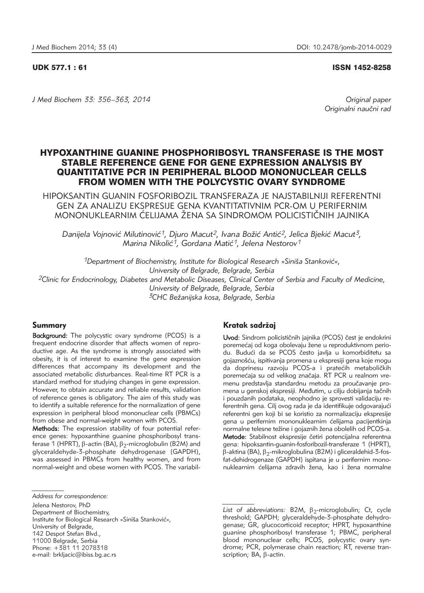#### UDK 577.1 : 61 ISSN 1452-8258

*J Med Biochem 33: 356–363, 2014 Original paper*

Originalni naučni rad

# HYPOXANTHINE GUANINE PHOSPHORIBOSYL TRANSFERASE IS THE MOST STABLE REFERENCE GENE FOR GENE EXPRESSION ANALYSIS BY QUANTITATIVE PCR IN PERIPHERAL BLOOD MONONUCLEAR CELLS FROM WOMEN WITH THE POLYCYSTIC OVARY SYNDROME

HIPOKSANTIN GUANIN FOSFORIBOZIL TRANSFERAZA JE NAJSTABILNIJI REFERENTNI GEN ZA ANALIZU EKSPRESIJE GENA KVANTITATIVNIM PCR-OM U PERIFERNIM MONONUKLEARNIM ĆELIJAMA ŽENA SA SINDROMOM POLICISTIČNIH JAJNIKA

Danijela Vojnović Milutinović<sup>1</sup>, Djuro Macut<sup>2</sup>, Ivana Božić Antić<sup>2</sup>, Jelica Bjekić Macut<sup>3</sup>, *Marina Nikoli}1, Gordana Mati}1, Jelena Nestorov1*

<sup>1</sup>Department of Biochemistry, Institute for Biological Research »Siniša Stanković«, *University of Belgrade, Belgrade, Serbia 2Clinic for Endocrinology, Diabetes and Metabolic Diseases, Clinical Center of Serbia and Faculty of Medicine, University of Belgrade, Belgrade, Serbia*

*3CHC Be`anijska kosa, Belgrade, Serbia*

#### Summary

Background: The polycystic ovary syndrome (PCOS) is a frequent endocrine disorder that affects women of reproductive age. As the syndrome is strongly associated with obesity, it is of interest to examine the gene expression differences that accompany its development and the associated metabolic disturbances. Real-time RT PCR is a standard method for studying changes in gene expression. However, to obtain accurate and reliable results, validation of reference genes is obligatory. The aim of this study was to identify a suitable reference for the normalization of gene expression in peripheral blood mononuclear cells (PBMCs) from obese and normal-weight women with PCOS.

Methods: The expression stability of four potential reference genes: hypoxanthine guanine phosphoribosyl transferase 1 (HPRT),  $\beta$ -actin (BA),  $\beta$ <sub>2</sub>-microglobulin (B2M) and glyceraldehyde-3-phosphate dehydrogenase (GAPDH), was assessed in PBMCs from healthy women, and from normal-weight and obese women with PCOS. The variabil-

Department of Biochemistry,

Institute for Biological Research »Siniša Stanković«,

University of Belgrade,

142 Despot Stefan Blvd.,

e-mail: brkljacic@ibiss.bg.ac.rs

## Kratak sadržaj

Uvod: Sindrom policističnih jajnika (PCOS) čest je endokrini poremećaj od koga obolevaju žene u reproduktivnom periodu. Budući da se PCOS često javlja u komorbiditetu sa gojaznošću, ispitivanja promena u ekspresiji gena koje mogu da doprinesu razvoju PCOS-a i pratećih metaboličkih poremećaja su od velikog značaja. RT PCR u realnom vremenu predstavlja standardnu metodu za proučavanje promena u genskoj ekspresiji. Međutim, u cilju dobijanja tačnih i pouzdanih podataka, neophodno je sprovesti validaciju referentnih gena. Cilj ovog rada je da identifikuje odgovarajući referentni gen koji bi se koristio za normalizaciju ekspresije gena u perifernim mononuklearnim ćelijama pacijentkinja normalne telesne težine i gojaznih žena obolelih od PCOS-a. Metode: Stabilnost ekspresije četiri potencijalna referentna gena: hipoksantin-guanin-fosforibozil-transferaze 1 (HPRT),  $\beta$ -aktina (BA),  $\beta$ <sub>2</sub>-mikroglobulina (B2M) i gliceraldehid-3-fosfat-dehidrogenaze (GAPDH) ispitana je u perifernim mononuklearnim ćelijama zdravih žena, kao i žena normalne

*Address for correspondence:*

Jelena Nestorov, PhD

<sup>11000</sup> Belgrade, Serbia Phone: +381 11 2078318

List of abbreviations: B2M,  $\beta_2$ -microglobulin; Ct, cycle threshold; GAPDH; glyceraldehyde-3-phosphate dehydrogenase; GR, glucocorticoid receptor; HPRT, hypoxanthine guanine phosphoribosyl transferase 1; PBMC, peripheral blood mononuclear cells; PCOS, polycystic ovary syndrome; PCR, polymerase chain reaction; RT, reverse transcription;  $BA$ ,  $\beta$ -actin.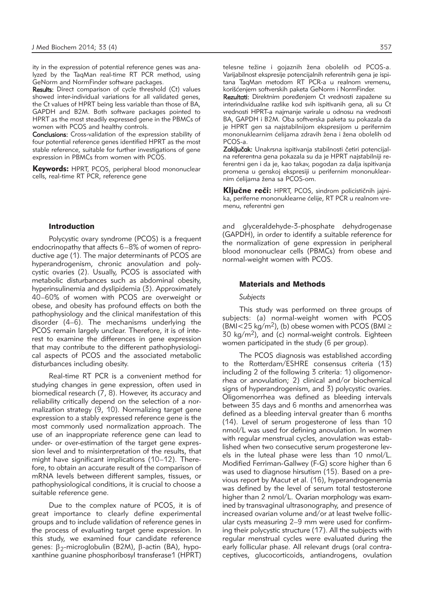ity in the expression of potential reference genes was analyzed by the TaqMan real-time RT PCR method, using GeNorm and NormFinder software packages.

Results: Direct comparison of cycle threshold (Ct) values showed inter-individual variations for all validated genes, the Ct values of HPRT being less variable than those of BA, GAPDH and B2M. Both software packages pointed to HPRT as the most steadily expressed gene in the PBMCs of women with PCOS and healthy controls.

Conclusions: Cross-validation of the expression stability of four potential reference genes identified HPRT as the most stable reference, suitable for further investigations of gene expression in PBMCs from women with PCOS.

Keywords: HPRT, PCOS, peripheral blood mononuclear cells, real-time RT PCR, reference gene

### Introduction

Polycystic ovary syndrome (PCOS) is a frequent endocrinopathy that affects 6–8% of women of reproductive age (1). The major determinants of PCOS are hyperandrogenism, chronic anovulation and polycystic ovaries (2). Usually, PCOS is associated with metabolic disturbances such as abdominal obesity, hyperinsulinemia and dyslipidemia (3). Approximately 40–60% of women with PCOS are overweight or obese, and obesity has profound effects on both the pathophysiology and the clinical manifestation of this disorder (4–6). The mechanisms underlying the PCOS remain largely unclear. Therefore, it is of interest to examine the differences in gene expression that may contribute to the different pathophysiological aspects of PCOS and the associated metabolic disturbances including obesity.

Real-time RT PCR is a convenient method for studying changes in gene expression, often used in biomedical research (7, 8). However, its accuracy and reliability critically depend on the selection of a normalization strategy (9, 10). Normalizing target gene expression to a stably expressed reference gene is the most commonly used normalization approach. The use of an inappropriate reference gene can lead to under- or over-estimation of the target gene expression level and to misinterpretation of the results, that might have significant implications (10–12). Therefore, to obtain an accurate result of the comparison of mRNA levels between different samples, tissues, or pathophysiological conditions, it is crucial to choose a suitable reference gene.

Due to the complex nature of PCOS, it is of great importance to clearly define experimental groups and to include validation of reference genes in the process of evaluating target gene expression. In this study, we examined four candidate reference genes:  $\beta_2$ -microglobulin (B2M),  $\beta$ -actin (BA), hypoxanthine guanine phosphoribosyl transferase1 (HPRT)

telesne težine i gojaznih žena obolelih od PCOS-a. Varijabilnost ekspresije potencijalnih referentnih gena je ispitana TaqMan metodom RT PCR-a u realnom vremenu, korišćenjem softverskih paketa GeNorm i NormFinder.

Rezultati: Direktnim poređenjem Ct vrednosti zapažene su interindividualne razlike kod svih ispitivanih gena, ali su Ct vrednosti HPRT-a najmanje varirale u odnosu na vrednosti BA, GAPDH i B2M. Oba softverska paketa su pokazala da je HPRT gen sa najstabilnijom ekspresijom u perifernim mononuklearnim ćelijama zdravih žena i žena obolelih od PCOS-a.

Zaključak: Unakrsna ispitivanja stabilnosti četiri potencijalna referentna gena pokazala su da je HPRT najstabilniji re ferentni gen i da je, kao takav, pogodan za dalja ispitivanja promena u genskoj ekspresiji u perifernim mononuklearnim ćelijama žena sa PCOS-om.

Ključne reči: HPRT, PCOS, sindrom policističnih jajnika, periferne mononuklearne ćelije, RT PCR u realnom vremenu, referentni gen

and glyceraldehyde-3-phosphate dehydrogenase (GAPDH), in order to identify a suitable reference for the normalization of gene expression in peripheral blood mononuclear cells (PBMCs) from obese and normal-weight women with PCOS.

#### Materials and Methods

#### *Subjects*

This study was performed on three groups of subjects: (a) normal-weight women with PCOS (BMI $<$ 25 kg/m<sup>2</sup>), (b) obese women with PCOS (BMI  $\ge$ 30  $\text{kg/m}^2$ ), and (c) normal-weight controls. Eighteen women participated in the study (6 per group).

The PCOS diagnosis was established according to the Rotterdam/ESHRE consensus criteria (13) including 2 of the following 3 criteria: 1) oligomenorrhea or anovulation; 2) clinical and/or biochemical signs of hyperandrogenism, and 3) polycystic ovaries. Oligo menorrhea was defined as bleeding intervals between 35 days and 6 months and amenorrhea was defined as a bleeding interval greater than 6 months (14). Level of serum progesterone of less than 10 nmol/L was used for defining anovulation. In women with regular menstrual cycles, anovulation was established when two consecutive serum progesterone levels in the luteal phase were less than 10 nmol/L. Modified Ferriman-Gallwey (F-G) score higher than 6 was used to diagnose hirsutism (15). Based on a previous report by Macut et al. (16), hyperandrogenemia was defined by the level of serum total testosterone higher than 2 nmol/L. Ovarian morphology was examined by transvaginal ultrasonography, and presence of increased ovarian volume and/or at least twelve follicular cysts measuring 2–9 mm were used for confirming their polycystic structure (17). All the subjects with regular menstrual cycles were evaluated during the early follicular phase. All relevant drugs (oral contraceptives, glucocorticoids, antiandrogens, ovulation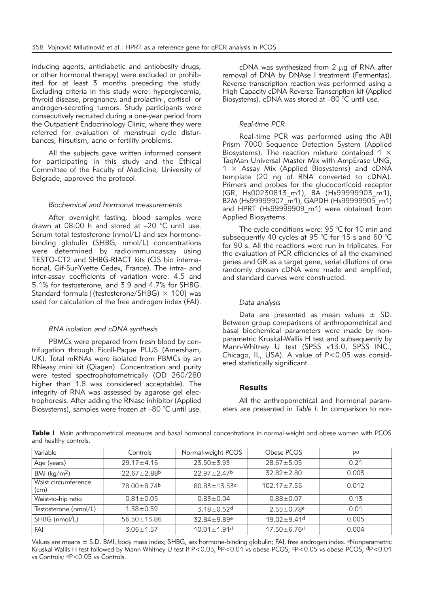inducing agents, antidiabetic and antiobesity drugs, or other hormonal therapy) were excluded or prohibited for at least 3 months preceding the study. Excluding criteria in this study were: hyperglycemia, thyroid disease, pregnancy, and prolactin-, cortisol- or androgen-secreting tumors. Study participants were consecutively recruited during a one-year period from the Outpatient Endocrinology Clinic, where they were referred for evaluation of menstrual cycle disturbances, hirsutism, acne or fertility problems.

All the subjects gave written informed consent for participating in this study and the Ethical Committee of the Faculty of Medicine, University of Belgrade, approved the protocol.

#### *Biochemical and hormonal measurements*

After overnight fasting, blood samples were drawn at 08:00 h and stored at –20 °C until use. Serum total testosterone (nmol/L) and sex hormonebinding globulin (SHBG, nmol/L) concentrations were determined by radioimmunoassay using TESTO-CT2 and SHBG-RIACT kits (CIS bio international, Gif-Sur-Yvette Cedex, France). The intra- and inter-assay coefficients of variation were: 4.5 and 5.1% for testosterone, and 3.9 and 4.7% for SHBG. Standard formula [(testosterone/SHBG)  $\times$  100] was used for calculation of the free androgen index (FAI).

#### *RNA isolation and cDNA synthesis*

PBMCs were prepared from fresh blood by centrifugation through Ficoll-Paque PLUS (Amersham, UK). Total mRNAs were isolated from PBMCs by an RNeasy mini kit (Qiagen). Concentration and purity were tested spectrophotometrically (OD 260/280 higher than 1.8 was considered acceptable). The integrity of RNA was assessed by agarose gel electrophoresis. After adding the RNase inhibitor (Applied Biosystems), samples were frozen at –80 °C until use.

cDNA was synthesized from 2 ug of RNA after removal of DNA by DNAse I treatment (Fermentas). Reverse transcription reaction was performed using a High Capacity cDNA Reverse Transcription kit (Applied Biosystems). cDNA was stored at –80 °C until use.

## *Real-time PCR*

Real-time PCR was performed using the ABI Prism 7000 Sequence Detection System (Applied Biosystems). The reaction mixture contained  $1 \times$ TaqMan Universal Master Mix with AmpErase UNG,  $1 \times$  Assay Mix (Applied Biosystems) and cDNA template (20 ng of RNA converted to cDNA). Primers and probes for the glucocorticoid receptor (GR, Hs00230813\_m1), BA (Hs99999903\_m1), B2M (Hs99999907\_m1), GAPDH (Hs99999905\_m1) and HPRT (Hs99999909 m1) were obtained from Applied Biosystems.

The cycle conditions were: 95 °C for 10 min and subsequently 40 cycles at 95 °C for 15 s and 60 °C for 90 s. All the reactions were run in triplicates. For the evaluation of PCR efficiencies of all the examined genes and GR as a target gene, serial dilutions of one randomly chosen cDNA were made and amplified, and standard curves were constructed.

#### *Data analysis*

Data are presented as mean values  $\pm$  SD. Between group comparisons of anthropometrical and basal biochemical parameters were made by nonparametric Kruskal-Wallis H test and subsequently by Mann-Whitney U test (SPSS v13.0, SPSS INC., Chicago, IL, USA). A value of P<0.05 was considered statistically significant.

## **Results**

All the anthropometrical and hormonal parameters are presented in *Table I*. In comparison to nor-

Table I Main anthropometrical measures and basal hormonal concentrations in normal-weight and obese women with PCOS and healthy controls.

| Variable                    | Controls                      | Normal-weight PCOS            | Obese PCOS                   | pa    |
|-----------------------------|-------------------------------|-------------------------------|------------------------------|-------|
| Age (years)                 | $29.17 \pm 4.16$              | $23.50 \pm 3.93$              | $28.67 \pm 5.05$             | 0.21  |
| BMI ( $\text{kg/m}^2$ )     | $22.67 \pm 2.88$ <sup>b</sup> | $22.97 \pm 2.47$ <sup>b</sup> | $32.82 \pm 2.80$             | 0.003 |
| Waist circumference<br>(cm) | 78.00 ± 8.74b                 | $80.83 \pm 13.53$ c           | $102.17 \pm 7.55$            | 0.012 |
| Waist-to-hip ratio          | $0.81 \pm 0.05$               | $0.83 \pm 0.04$               | $0.88 + 0.07$                | 0.13  |
| Testosterone (nmol/L)       | $1.58 + 0.59$                 | $3.18 \pm 0.52$ d             | $2.55 \pm 0.78$ <sup>e</sup> | 0.01  |
| SHBG (nmol/L)               | $56.50 \pm 13.86$             | 32.84±9.89e                   | $19.02 \pm 9.41$ d           | 0.005 |
| FAI                         | $3.06 \pm 1.57$               | $10.01 \pm 1.91$ <sup>d</sup> | $17.50 \pm 6.76$ d           | 0.004 |

Values are means ± S.D. BMI, body mass index; SHBG, sex hormone-binding globulin; FAI, free androgen index. <sup>a</sup>Nonparametric Kruskal-Wallis H test followed by Mann-Whitney U test if P<0.05; bP<0.01 vs obese PCOS; cP<0.05 vs obese PCOS; dP<0.01 vs Controls; eP<0.05 vs Controls.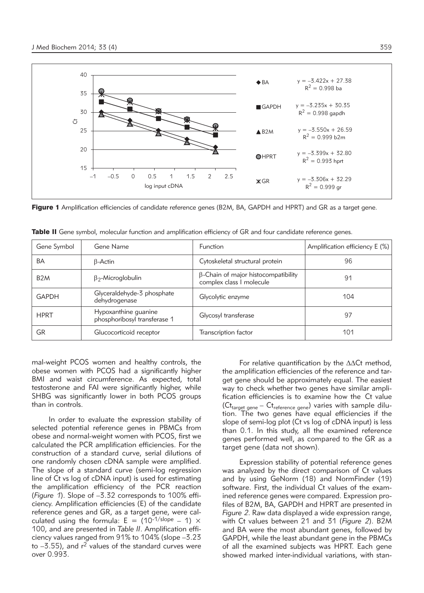

Figure 1 Amplification efficiencies of candidate reference genes (B2M, BA, GAPDH and HPRT) and GR as a target gene.

| Gene Symbol      | Gene Name                                            | <b>Function</b>                                                        | Amplification efficiency E (%) |
|------------------|------------------------------------------------------|------------------------------------------------------------------------|--------------------------------|
| BA               | $\beta$ -Actin                                       | Cytoskeletal structural protein                                        | 96                             |
| B <sub>2</sub> M | $\beta_2$ -Microglobulin                             | $\beta$ -Chain of major histocompatibility<br>complex class I molecule | 91                             |
| <b>GAPDH</b>     | Glyceraldehyde-3 phosphate<br>dehydrogenase          | Glycolytic enzyme                                                      | 104                            |
| <b>HPRT</b>      | Hypoxanthine guanine<br>phosphoribosyl transferase 1 | Glycosyl transferase                                                   | 97                             |
| GR               | Glucocorticoid receptor                              | Transcription factor                                                   | 101                            |

Table II Gene symbol, molecular function and amplification efficiency of GR and four candidate reference genes.

mal-weight PCOS women and healthy controls, the obese women with PCOS had a significantly higher BMI and waist circumference. As expected, total testosterone and FAI were significantly higher, while SHBG was significantly lower in both PCOS groups than in controls.

In order to evaluate the expression stability of selected potential reference genes in PBMCs from obese and normal-weight women with PCOS, first we calculated the PCR amplification efficiencies. For the construction of a standard curve, serial dilutions of one randomly chosen cDNA sample were amplified. The slope of a standard curve (semi-log regression line of Ct vs log of cDNA input) is used for estimating the amplification efficiency of the PCR reaction (*Figure 1*). Slope of –3.32 corresponds to 100% efficiency. Amplification efficiencies (E) of the candidate reference genes and GR, as a target gene, were calculated using the formula:  $E = (10^{-1/slope} - 1) \times$ 100, and are presented in *Table II*. Amplification efficiency values ranged from 91% to 104% (slope –3.23 to  $-3.55$ ), and  $r^2$  values of the standard curves were over 0.993.

For relative quantification by the  $\Delta\Delta$ Ct method, the amplification efficiencies of the reference and target gene should be approximately equal. The easiest way to check whether two genes have similar amplification efficiencies is to examine how the Ct value  $(Ct_{target\ gene} - Ct_{reference\ gene})$  varies with sample dilution. The two genes have equal efficiencies if the slope of semi-log plot (Ct vs log of cDNA input) is less than 0.1. In this study, all the examined reference genes performed well, as compared to the GR as a target gene (data not shown).

Expression stability of potential reference genes was analyzed by the direct comparison of Ct values and by using GeNorm (18) and NormFinder (19) software. First, the individual Ct values of the examined reference genes were compared. Expression profiles of B2M, BA, GAPDH and HPRT are presented in *Figure 2*. Raw data displayed a wide expression range, with Ct values between 21 and 31 (*Figure 2*). B2M and BA were the most abundant genes, followed by GAPDH, while the least abundant gene in the PBMCs of all the examined subjects was HPRT. Each gene showed marked inter-individual variations, with stan-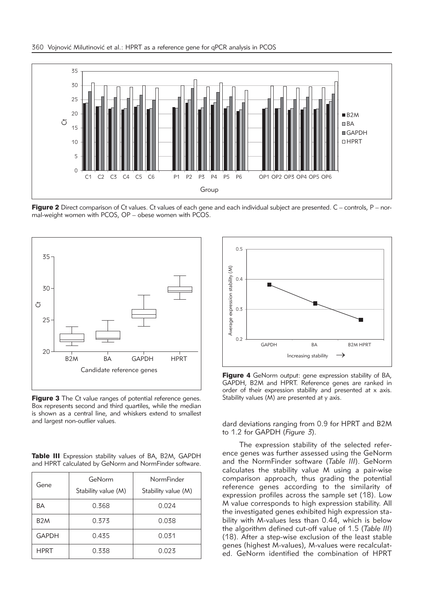

Figure 2 Direct comparison of Ct values. Ct values of each gene and each individual subject are presented.  $C -$  controls,  $P -$  normal-weight women with PCOS, OP – obese women with PCOS.



Figure 3 The Ct value ranges of potential reference genes. Box represents second and third quartiles, while the median is shown as a central line, and whiskers extend to smallest and largest non-outlier values.

Table III Expression stability values of BA, B2M, GAPDH and HPRT calculated by GeNorm and NormFinder software.

| Gene             | GeNorm<br>Stability value (M) | NormFinder<br>Stability value (M) |  |
|------------------|-------------------------------|-----------------------------------|--|
| ΒA               | 0.368                         | 0.024                             |  |
| B <sub>2</sub> M | 0.373                         | 0.038                             |  |
| <b>GAPDH</b>     | 0.435                         | 0.031                             |  |
| <b>HPRT</b>      | 0.338                         | 0.023                             |  |



**Figure 4** GeNorm output: gene expression stability of BA. GAPDH, B2M and HPRT. Reference genes are ranked in order of their expression stability and presented at x axis. Stability values (M) are presented at y axis.

dard deviations ranging from 0.9 for HPRT and B2M to 1.2 for GAPDH (*Figure 3*).

The expression stability of the selected reference genes was further assessed using the GeNorm and the NormFinder software (*Table III*). GeNorm calculates the stability value M using a pair-wise comparison approach, thus grading the potential reference genes according to the similarity of expression profiles across the sample set (18). Low M value corresponds to high expression stability. All the investigated genes exhibited high expression stability with M-values less than 0.44, which is below the algorithm defined cut-off value of 1.5 (*Table III*) (18). After a step-wise exclusion of the least stable genes (highest M-values), M-values were recalculated. GeNorm identified the combination of HPRT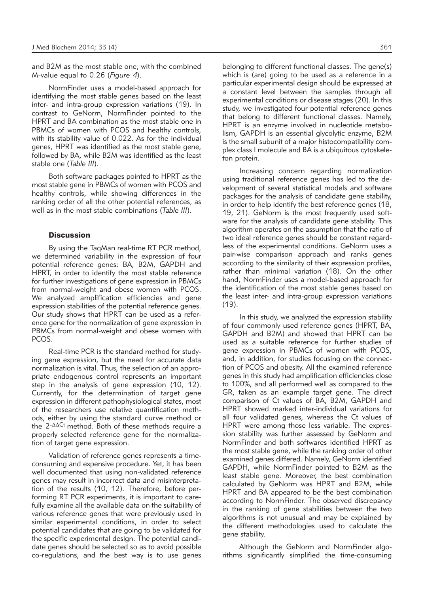and B2M as the most stable one, with the combined M-value equal to 0.26 (*Figure 4*).

NormFinder uses a model-based approach for identifying the most stable genes based on the least inter- and intra-group expression variations (19). In contrast to GeNorm, NormFinder pointed to the HPRT and BA combination as the most stable one in PBMCs of women with PCOS and healthy controls, with its stability value of 0.022. As for the individual genes, HPRT was identified as the most stable gene, followed by BA, while B2M was identified as the least stable one (*Table III*).

Both software packages pointed to HPRT as the most stable gene in PBMCs of women with PCOS and healthy controls, while showing differences in the ranking order of all the other potential references, as well as in the most stable combinations (*Table III*).

#### **Discussion**

By using the TaqMan real-time RT PCR method, we determined variability in the expression of four potential reference genes: BA, B2M, GAPDH and HPRT, in order to identify the most stable reference for further investigations of gene expression in PBMCs from normal-weight and obese women with PCOS. We analyzed amplification efficiencies and gene expression stabilities of the potential reference genes. Our study shows that HPRT can be used as a reference gene for the normalization of gene expression in PBMCs from normal-weight and obese women with PCOS.

Real-time PCR is the standard method for studying gene expression, but the need for accurate data normalization is vital. Thus, the selection of an appropriate endogenous control represents an important step in the analysis of gene expression (10, 12). Currently, for the determination of target gene expression in different pathophysiological states, most of the researchers use relative quantification methods, either by using the standard curve method or the  $2$ - $\Delta\Delta$ Ct method. Both of these methods require a properly selected reference gene for the normalization of target gene expression.

Validation of reference genes represents a timeconsuming and expensive procedure. Yet, it has been well documented that using non-validated reference genes may result in incorrect data and misinterpretation of the results (10, 12). Therefore, before performing RT PCR experiments, it is important to carefully examine all the available data on the suitability of various reference genes that were previously used in similar experimental conditions, in order to select potential candidates that are going to be validated for the specific experimental design. The potential candidate genes should be selected so as to avoid possible co-regulations, and the best way is to use genes

belonging to different functional classes. The gene(s) which is (are) going to be used as a reference in a particular experimental design should be expressed at a constant level between the samples through all experimental conditions or disease stages (20). In this study, we investigated four potential reference genes that belong to different functional classes. Namely,

HPRT is an enzyme involved in nucleotide metabolism, GAPDH is an essential glycolytic enzyme, B2M is the small subunit of a major histocompatibility complex class I molecule and BA is a ubiquitous cytoskeleton protein.

Increasing concern regarding normalization using traditional reference genes has led to the development of several statistical models and software packages for the analysis of candidate gene stability, in order to help identify the best reference genes (18, 19, 21). GeNorm is the most frequently used software for the analysis of candidate gene stability. This algorithm operates on the assumption that the ratio of two ideal reference genes should be constant regardless of the experimental conditions. GeNorm uses a pair-wise comparison approach and ranks genes according to the similarity of their expression profiles, rather than minimal variation (18). On the other hand, NormFinder uses a model-based approach for the identification of the most stable genes based on the least inter- and intra-group expression variations  $(19)$ .

In this study, we analyzed the expression stability of four commonly used reference genes (HPRT, BA, GAPDH and B2M) and showed that HPRT can be used as a suitable reference for further studies of gene expression in PBMCs of women with PCOS, and, in addition, for studies focusing on the connection of PCOS and obesity. All the examined reference genes in this study had amplification efficiencies close to 100%, and all performed well as compared to the GR, taken as an example target gene. The direct comparison of Ct values of BA, B2M, GAPDH and HPRT showed marked inter-individual variations for all four validated genes, whereas the Ct values of HPRT were among those less variable. The expression stability was further assessed by GeNorm and NormFinder and both softwares identified HPRT as the most stable gene, while the ranking order of other examined genes differed. Namely, GeNorm identified GAPDH, while NormFinder pointed to B2M as the least stable gene. Moreover, the best combination calculated by GeNorm was HPRT and B2M, while HPRT and BA appeared to be the best combination according to NormFinder. The observed discrepancy in the ranking of gene stabilities between the two algorithms is not unusual and may be explained by the different methodologies used to calculate the gene stability.

Although the GeNorm and NormFinder algorithms significantly simplified the time-consuming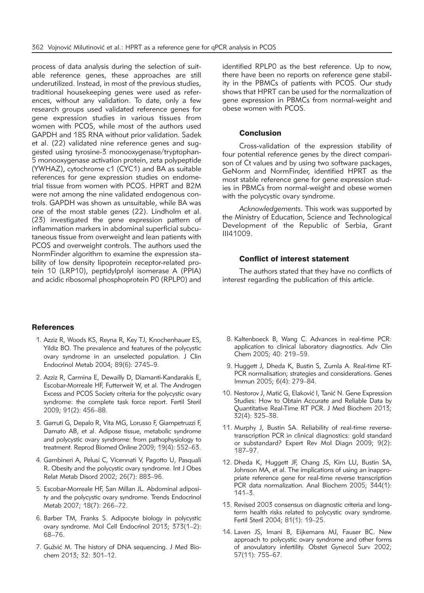process of data analysis during the selection of suitable reference genes, these approaches are still underutilized. Instead, in most of the previous studies, traditional housekeeping genes were used as references, without any validation. To date, only a few research groups used validated reference genes for gene expression studies in various tissues from women with PCOS, while most of the authors used GAPDH and 18S RNA without prior validation. Sadek et al. (22) validated nine reference genes and suggested using tyrosine-3 monooxygenase/tryptophan-5 monooxygenase activation protein, zeta polypeptide (YWHAZ), cytochrome c1 (CYC1) and BA as suitable references for gene expression studies on endometrial tissue from women with PCOS. HPRT and B2M were not among the nine validated endogenous controls. GAPDH was shown as unsuitable, while BA was one of the most stable genes (22). Lindholm et al. (23) investigated the gene expression pattern of inflammation markers in abdominal superficial subcutaneous tissue from overweight and lean patients with PCOS and overweight controls. The authors used the NormFinder algorithm to examine the expression stability of low density lipoprotein receptor-related protein 10 (LRP10), peptidylprolyl isomerase A (PPIA) and acidic ribosomal phosphoprotein P0 (RPLP0) and

#### **References**

- 1. Azziz R, Woods KS, Reyna R, Key TJ, Knochenhauer ES, Yildiz BO. The prevalence and features of the polycystic ovary syndrome in an unselected population. J Clin Endocrinol Metab 2004; 89(6): 2745–9.
- 2. Azziz R, Carmina E, Dewailly D, Diamanti-Kandarakis E, Escobar-Morreale HF, Futterweit W, et al. The Androgen Excess and PCOS Society criteria for the polycystic ovary syndrome: the complete task force report. Fertil Steril 2009; 91(2): 456–88.
- 3. Garruti G, Depalo R, Vita MG, Lorusso F, Giampetruzzi F, Damato AB, et al. Adipose tissue, metabolic syndrome and polycystic ovary syndrome: from pathophysiology to treatment. Reprod Biomed Online 2009; 19(4): 552–63.
- 4. Gambineri A, Pelusi C, Vicennati V, Pagotto U, Pasquali R. Obesity and the polycystic ovary syndrome. Int J Obes Relat Metab Disord 2002; 26(7): 883–96.
- 5. Escobar-Morreale HF, San Millan JL. Abdominal adiposity and the polycystic ovary syndrome. Trends Endocrinol Metab 2007; 18(7): 266–72.
- 6. Barber TM, Franks S. Adipocyte biology in polycystic ovary syndrome. Mol Cell Endocrinol 2013; 373(1–2): 68–76.
- 7. Gužvić M. The history of DNA sequencing. J Med Biochem 2013; 32: 301–12.

identified RPLP0 as the best reference. Up to now, there have been no reports on reference gene stability in the PBMCs of patients with PCOS. Our study shows that HPRT can be used for the normalization of gene expression in PBMCs from normal-weight and obese women with PCOS.

#### Conclusion

Cross-validation of the expression stability of four potential reference genes by the direct comparison of Ct values and by using two software packages, GeNorm and NormFinder, identified HPRT as the most stable reference gene for gene expression studies in PBMCs from normal-weight and obese women with the polycystic ovary syndrome.

*Acknowledgements.* This work was supported by the Ministry of Education, Science and Technological Development of the Republic of Serbia, Grant III41009.

#### Conflict of interest statement

The authors stated that they have no conflicts of interest regarding the publication of this article.

- 8. Kaltenboeck B, Wang C. Advances in real-time PCR: application to clinical laboratory diagnostics. Adv Clin Chem 2005; 40: 219–59.
- 9. Huggett J, Dheda K, Bustin S, Zumla A. Real-time RT-PCR normalisation; strategies and considerations. Genes Immun 2005; 6(4): 279–84.
- 10. Nestorov J, Matić G, Elaković I, Tanić N. Gene Expression Studies: How to Obtain Accurate and Reliable Data by Quantitative Real-Time RT PCR. J Med Biochem 2013; 32(4): 325–38.
- 11. Murphy J, Bustin SA. Reliability of real-time reversetranscription PCR in clinical diagnostics: gold standard or substandard? Expert Rev Mol Diagn 2009; 9(2): 187–97.
- 12. Dheda K, Huggett JF, Chang JS, Kim LU, Bustin SA, Johnson MA, et al. The implications of using an inappropriate reference gene for real-time reverse transcription PCR data normalization. Anal Biochem 2005; 344(1): 141–3.
- 13. Revised 2003 consensus on diagnostic criteria and longterm health risks related to polycystic ovary syndrome. Fertil Steril 2004; 81(1): 19–25.
- 14. Laven JS, Imani B, Eijkemans MJ, Fauser BC. New approach to polycystic ovary syndrome and other forms of anovulatory infertility. Obstet Gynecol Surv 2002; 57(11): 755–67.